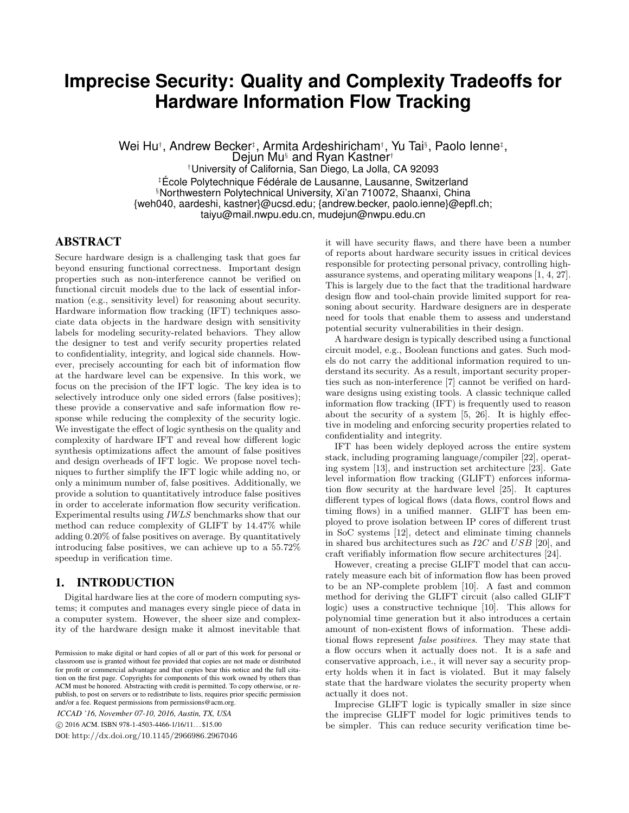# **Imprecise Security: Quality and Complexity Tradeoffs for Hardware Information Flow Tracking**

Wei Hu†, Andrew Becker‡, Armita Ardeshiricham†, Yu Tai§, Paolo lenne‡, Dejun Mu§ and Ryan Kastner†

†University of California, San Diego, La Jolla, CA 92093 ‡École Polytechnique Fédérale de Lausanne, Lausanne, Switzerland §Northwestern Polytechnical University, Xi'an 710072, Shaanxi, China {weh040, aardeshi, kastner}@ucsd.edu; {andrew.becker, paolo.ienne}@epfl.ch; taiyu@mail.nwpu.edu.cn, mudejun@nwpu.edu.cn

## ABSTRACT

Secure hardware design is a challenging task that goes far beyond ensuring functional correctness. Important design properties such as non-interference cannot be verified on functional circuit models due to the lack of essential information (e.g., sensitivity level) for reasoning about security. Hardware information flow tracking (IFT) techniques associate data objects in the hardware design with sensitivity labels for modeling security-related behaviors. They allow the designer to test and verify security properties related to confidentiality, integrity, and logical side channels. However, precisely accounting for each bit of information flow at the hardware level can be expensive. In this work, we focus on the precision of the IFT logic. The key idea is to selectively introduce only one sided errors (false positives); these provide a conservative and safe information flow response while reducing the complexity of the security logic. We investigate the effect of logic synthesis on the quality and complexity of hardware IFT and reveal how different logic synthesis optimizations affect the amount of false positives and design overheads of IFT logic. We propose novel techniques to further simplify the IFT logic while adding no, or only a minimum number of, false positives. Additionally, we provide a solution to quantitatively introduce false positives in order to accelerate information flow security verification. Experimental results using IWLS benchmarks show that our method can reduce complexity of GLIFT by 14.47% while adding 0.20% of false positives on average. By quantitatively introducing false positives, we can achieve up to a 55.72% speedup in verification time.

## 1. INTRODUCTION

Digital hardware lies at the core of modern computing systems; it computes and manages every single piece of data in a computer system. However, the sheer size and complexity of the hardware design make it almost inevitable that

*ICCAD '16, November 07-10, 2016, Austin, TX, USA* c 2016 ACM. ISBN 978-1-4503-4466-1/16/11. . . \$15.00 DOI: http://dx.doi.org/10.1145/2966986.2967046 it will have security flaws, and there have been a number of reports about hardware security issues in critical devices responsible for protecting personal privacy, controlling highassurance systems, and operating military weapons [1, 4, 27]. This is largely due to the fact that the traditional hardware design flow and tool-chain provide limited support for reasoning about security. Hardware designers are in desperate need for tools that enable them to assess and understand potential security vulnerabilities in their design.

A hardware design is typically described using a functional circuit model, e.g., Boolean functions and gates. Such models do not carry the additional information required to understand its security. As a result, important security properties such as non-interference [7] cannot be verified on hardware designs using existing tools. A classic technique called information flow tracking (IFT) is frequently used to reason about the security of a system [5, 26]. It is highly effective in modeling and enforcing security properties related to confidentiality and integrity.

IFT has been widely deployed across the entire system stack, including programing language/compiler [22], operating system [13], and instruction set architecture [23]. Gate level information flow tracking (GLIFT) enforces information flow security at the hardware level [25]. It captures different types of logical flows (data flows, control flows and timing flows) in a unified manner. GLIFT has been employed to prove isolation between IP cores of different trust in SoC systems [12], detect and eliminate timing channels in shared bus architectures such as I2C and USB [20], and craft verifiably information flow secure architectures [24].

However, creating a precise GLIFT model that can accurately measure each bit of information flow has been proved to be an NP-complete problem [10]. A fast and common method for deriving the GLIFT circuit (also called GLIFT logic) uses a constructive technique [10]. This allows for polynomial time generation but it also introduces a certain amount of non-existent flows of information. These additional flows represent false positives. They may state that a flow occurs when it actually does not. It is a safe and conservative approach, i.e., it will never say a security property holds when it in fact is violated. But it may falsely state that the hardware violates the security property when actually it does not.

Imprecise GLIFT logic is typically smaller in size since the imprecise GLIFT model for logic primitives tends to be simpler. This can reduce security verification time be-

Permission to make digital or hard copies of all or part of this work for personal or classroom use is granted without fee provided that copies are not made or distributed for profit or commercial advantage and that copies bear this notice and the full citation on the first page. Copyrights for components of this work owned by others than ACM must be honored. Abstracting with credit is permitted. To copy otherwise, or republish, to post on servers or to redistribute to lists, requires prior specific permission and/or a fee. Request permissions from permissions@acm.org.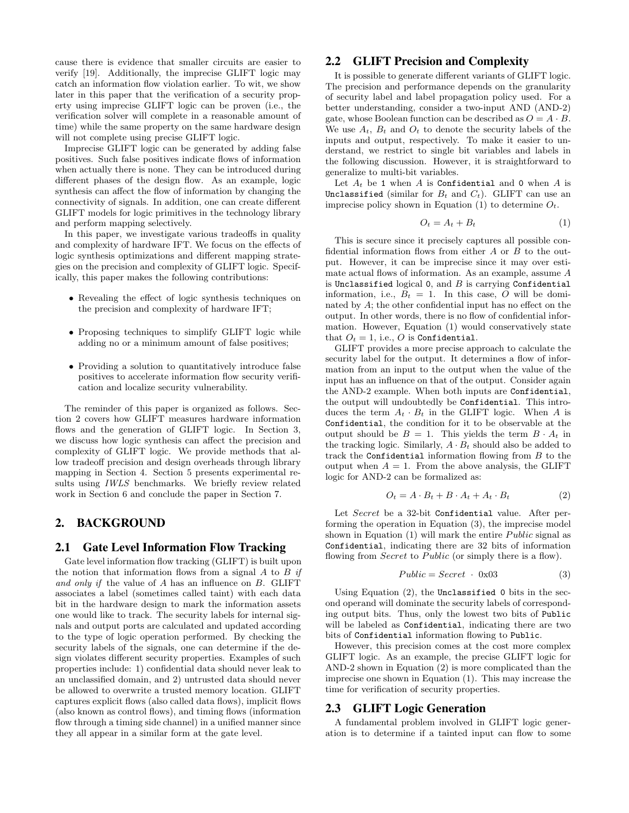cause there is evidence that smaller circuits are easier to verify [19]. Additionally, the imprecise GLIFT logic may catch an information flow violation earlier. To wit, we show later in this paper that the verification of a security property using imprecise GLIFT logic can be proven (i.e., the verification solver will complete in a reasonable amount of time) while the same property on the same hardware design will not complete using precise GLIFT logic.

Imprecise GLIFT logic can be generated by adding false positives. Such false positives indicate flows of information when actually there is none. They can be introduced during different phases of the design flow. As an example, logic synthesis can affect the flow of information by changing the connectivity of signals. In addition, one can create different GLIFT models for logic primitives in the technology library and perform mapping selectively.

In this paper, we investigate various tradeoffs in quality and complexity of hardware IFT. We focus on the effects of logic synthesis optimizations and different mapping strategies on the precision and complexity of GLIFT logic. Specifically, this paper makes the following contributions:

- Revealing the effect of logic synthesis techniques on the precision and complexity of hardware IFT;
- Proposing techniques to simplify GLIFT logic while adding no or a minimum amount of false positives;
- Providing a solution to quantitatively introduce false positives to accelerate information flow security verification and localize security vulnerability.

The reminder of this paper is organized as follows. Section 2 covers how GLIFT measures hardware information flows and the generation of GLIFT logic. In Section 3, we discuss how logic synthesis can affect the precision and complexity of GLIFT logic. We provide methods that allow tradeoff precision and design overheads through library mapping in Section 4. Section 5 presents experimental results using IWLS benchmarks. We briefly review related work in Section 6 and conclude the paper in Section 7.

## 2. BACKGROUND

## 2.1 Gate Level Information Flow Tracking

Gate level information flow tracking (GLIFT) is built upon the notion that information flows from a signal  $A$  to  $B$  if and only if the value of A has an influence on B. GLIFT associates a label (sometimes called taint) with each data bit in the hardware design to mark the information assets one would like to track. The security labels for internal signals and output ports are calculated and updated according to the type of logic operation performed. By checking the security labels of the signals, one can determine if the design violates different security properties. Examples of such properties include: 1) confidential data should never leak to an unclassified domain, and 2) untrusted data should never be allowed to overwrite a trusted memory location. GLIFT captures explicit flows (also called data flows), implicit flows (also known as control flows), and timing flows (information flow through a timing side channel) in a unified manner since they all appear in a similar form at the gate level.

## 2.2 GLIFT Precision and Complexity

It is possible to generate different variants of GLIFT logic. The precision and performance depends on the granularity of security label and label propagation policy used. For a better understanding, consider a two-input AND (AND-2) gate, whose Boolean function can be described as  $O = A \cdot B$ . We use  $A_t$ ,  $B_t$  and  $O_t$  to denote the security labels of the inputs and output, respectively. To make it easier to understand, we restrict to single bit variables and labels in the following discussion. However, it is straightforward to generalize to multi-bit variables.

Let  $A_t$  be 1 when A is Confidential and 0 when A is Unclassified (similar for  $B_t$  and  $C_t$ ). GLIFT can use an imprecise policy shown in Equation (1) to determine  $O_t$ .

$$
O_t = A_t + B_t \tag{1}
$$

This is secure since it precisely captures all possible confidential information flows from either A or B to the output. However, it can be imprecise since it may over estimate actual flows of information. As an example, assume A is Unclassified logical  $0$ , and  $B$  is carrying Confidential information, i.e.,  $B_t = 1$ . In this case, O will be dominated by A; the other confidential input has no effect on the output. In other words, there is no flow of confidential information. However, Equation (1) would conservatively state that  $O_t = 1$ , i.e., O is Confidential.

GLIFT provides a more precise approach to calculate the security label for the output. It determines a flow of information from an input to the output when the value of the input has an influence on that of the output. Consider again the AND-2 example. When both inputs are Confidential, the output will undoubtedly be Confidential. This introduces the term  $A_t \cdot B_t$  in the GLIFT logic. When A is Confidential, the condition for it to be observable at the output should be  $B = 1$ . This yields the term  $B \cdot A_t$  in the tracking logic. Similarly,  $A \cdot B_t$  should also be added to track the Confidential information flowing from  $B$  to the output when  $A = 1$ . From the above analysis, the GLIFT logic for AND-2 can be formalized as:

$$
O_t = A \cdot B_t + B \cdot A_t + A_t \cdot B_t \tag{2}
$$

Let Secret be a 32-bit Confidential value. After performing the operation in Equation (3), the imprecise model shown in Equation  $(1)$  will mark the entire *Public* signal as Confidential, indicating there are 32 bits of information flowing from *Secret* to *Public* (or simply there is a flow).

$$
Public = Secret \cdot 0x03 \tag{3}
$$

Using Equation (2), the Unclassified 0 bits in the second operand will dominate the security labels of corresponding output bits. Thus, only the lowest two bits of Public will be labeled as Confidential, indicating there are two bits of Confidential information flowing to Public.

However, this precision comes at the cost more complex GLIFT logic. As an example, the precise GLIFT logic for AND-2 shown in Equation (2) is more complicated than the imprecise one shown in Equation (1). This may increase the time for verification of security properties.

#### 2.3 GLIFT Logic Generation

A fundamental problem involved in GLIFT logic generation is to determine if a tainted input can flow to some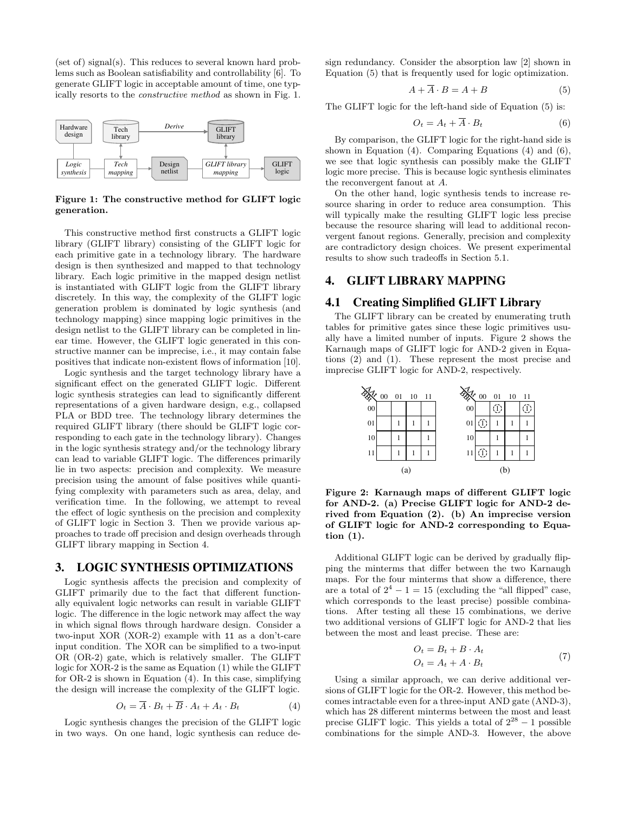(set of) signal(s). This reduces to several known hard problems such as Boolean satisfiability and controllability [6]. To generate GLIFT logic in acceptable amount of time, one typically resorts to the constructive method as shown in Fig. 1.



Figure 1: The constructive method for GLIFT logic generation.

This constructive method first constructs a GLIFT logic library (GLIFT library) consisting of the GLIFT logic for each primitive gate in a technology library. The hardware design is then synthesized and mapped to that technology library. Each logic primitive in the mapped design netlist is instantiated with GLIFT logic from the GLIFT library discretely. In this way, the complexity of the GLIFT logic generation problem is dominated by logic synthesis (and technology mapping) since mapping logic primitives in the design netlist to the GLIFT library can be completed in linear time. However, the GLIFT logic generated in this constructive manner can be imprecise, i.e., it may contain false positives that indicate non-existent flows of information [10].

Logic synthesis and the target technology library have a significant effect on the generated GLIFT logic. Different logic synthesis strategies can lead to significantly different representations of a given hardware design, e.g., collapsed PLA or BDD tree. The technology library determines the required GLIFT library (there should be GLIFT logic corresponding to each gate in the technology library). Changes in the logic synthesis strategy and/or the technology library can lead to variable GLIFT logic. The differences primarily lie in two aspects: precision and complexity. We measure precision using the amount of false positives while quantifying complexity with parameters such as area, delay, and verification time. In the following, we attempt to reveal the effect of logic synthesis on the precision and complexity of GLIFT logic in Section 3. Then we provide various approaches to trade off precision and design overheads through GLIFT library mapping in Section 4.

#### 3. LOGIC SYNTHESIS OPTIMIZATIONS

Logic synthesis affects the precision and complexity of GLIFT primarily due to the fact that different functionally equivalent logic networks can result in variable GLIFT logic. The difference in the logic network may affect the way in which signal flows through hardware design. Consider a two-input XOR (XOR-2) example with 11 as a don't-care input condition. The XOR can be simplified to a two-input OR (OR-2) gate, which is relatively smaller. The GLIFT logic for XOR-2 is the same as Equation (1) while the GLIFT for OR-2 is shown in Equation (4). In this case, simplifying the design will increase the complexity of the GLIFT logic.

$$
O_t = \overline{A} \cdot B_t + \overline{B} \cdot A_t + A_t \cdot B_t \tag{4}
$$

Logic synthesis changes the precision of the GLIFT logic in two ways. On one hand, logic synthesis can reduce design redundancy. Consider the absorption law [2] shown in Equation (5) that is frequently used for logic optimization.

$$
A + A \cdot B = A + B \tag{5}
$$

The GLIFT logic for the left-hand side of Equation (5) is:

$$
O_t = A_t + \overline{A} \cdot B_t \tag{6}
$$

By comparison, the GLIFT logic for the right-hand side is shown in Equation (4). Comparing Equations (4) and (6), we see that logic synthesis can possibly make the GLIFT logic more precise. This is because logic synthesis eliminates the reconvergent fanout at A.

On the other hand, logic synthesis tends to increase resource sharing in order to reduce area consumption. This will typically make the resulting GLIFT logic less precise because the resource sharing will lead to additional reconvergent fanout regions. Generally, precision and complexity are contradictory design choices. We present experimental results to show such tradeoffs in Section 5.1.

#### 4. GLIFT LIBRARY MAPPING

#### 4.1 Creating Simplified GLIFT Library

The GLIFT library can be created by enumerating truth tables for primitive gates since these logic primitives usually have a limited number of inputs. Figure 2 shows the Karnaugh maps of GLIFT logic for AND-2 given in Equations (2) and (1). These represent the most precise and imprecise GLIFT logic for AND-2, respectively.



Figure 2: Karnaugh maps of different GLIFT logic for AND-2. (a) Precise GLIFT logic for AND-2 derived from Equation (2). (b) An imprecise version of GLIFT logic for AND-2 corresponding to Equation (1).

Additional GLIFT logic can be derived by gradually flipping the minterms that differ between the two Karnaugh maps. For the four minterms that show a difference, there are a total of  $2^4 - 1 = 15$  (excluding the "all flipped" case, which corresponds to the least precise) possible combinations. After testing all these 15 combinations, we derive two additional versions of GLIFT logic for AND-2 that lies between the most and least precise. These are:

$$
O_t = B_t + B \cdot A_t
$$
  
\n
$$
O_t = A_t + A \cdot B_t
$$
\n(7)

Using a similar approach, we can derive additional versions of GLIFT logic for the OR-2. However, this method becomes intractable even for a three-input AND gate (AND-3), which has 28 different minterms between the most and least precise GLIFT logic. This yields a total of  $2^{28} - 1$  possible combinations for the simple AND-3. However, the above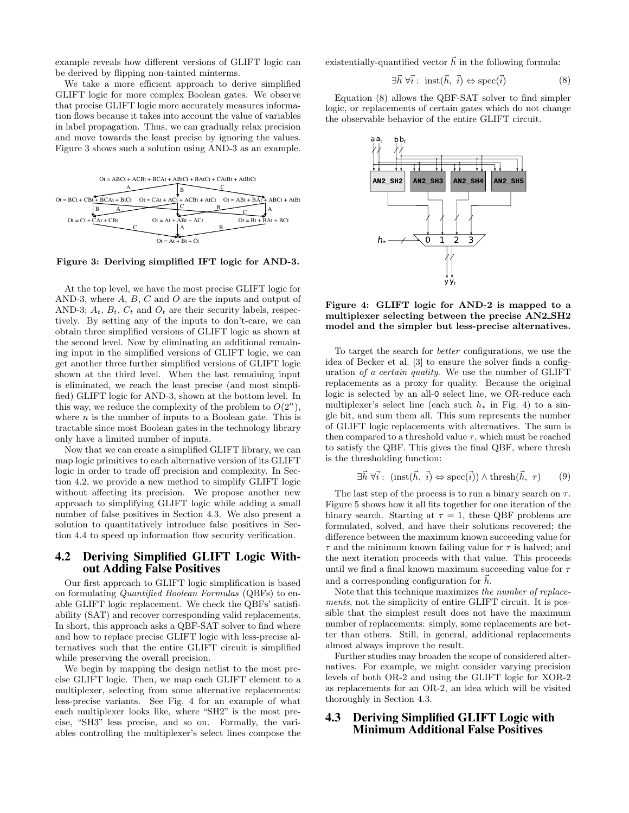example reveals how different versions of GLIFT logic can be derived by flipping non-tainted minterms.

We take a more efficient approach to derive simplified GLIFT logic for more complex Boolean gates. We observe that precise GLIFT logic more accurately measures information flows because it takes into account the value of variables in label propagation. Thus, we can gradually relax precision and move towards the least precise by ignoring the values. Figure 3 shows such a solution using AND-3 as an example.



Figure 3: Deriving simplified IFT logic for AND-3.

At the top level, we have the most precise GLIFT logic for AND-3, where A, B, C and O are the inputs and output of AND-3;  $A_t$ ,  $B_t$ ,  $C_t$  and  $O_t$  are their security labels, respectively. By setting any of the inputs to don't-care, we can obtain three simplified versions of GLIFT logic as shown at the second level. Now by eliminating an additional remaining input in the simplified versions of GLIFT logic, we can get another three further simplified versions of GLIFT logic shown at the third level. When the last remaining input is eliminated, we reach the least precise (and most simplified) GLIFT logic for AND-3, shown at the bottom level. In this way, we reduce the complexity of the problem to  $O(2^n)$ , where  $n$  is the number of inputs to a Boolean gate. This is tractable since most Boolean gates in the technology library only have a limited number of inputs.

Now that we can create a simplified GLIFT library, we can map logic primitives to each alternative version of its GLIFT logic in order to trade off precision and complexity. In Section 4.2, we provide a new method to simplify GLIFT logic without affecting its precision. We propose another new approach to simplifying GLIFT logic while adding a small number of false positives in Section 4.3. We also present a solution to quantitatively introduce false positives in Section 4.4 to speed up information flow security verification.

## 4.2 Deriving Simplified GLIFT Logic Without Adding False Positives

Our first approach to GLIFT logic simplification is based on formulating Quantified Boolean Formulas (QBFs) to enable GLIFT logic replacement. We check the QBFs' satisfiability (SAT) and recover corresponding valid replacements. In short, this approach asks a QBF-SAT solver to find where and how to replace precise GLIFT logic with less-precise alternatives such that the entire GLIFT circuit is simplified while preserving the overall precision.

We begin by mapping the design netlist to the most precise GLIFT logic. Then, we map each GLIFT element to a multiplexer, selecting from some alternative replacements: less-precise variants. See Fig. 4 for an example of what each multiplexer looks like, where "SH2" is the most precise, "SH3" less precise, and so on. Formally, the variables controlling the multiplexer's select lines compose the existentially-quantified vector  $\vec{h}$  in the following formula:

$$
\exists \vec{h} \,\forall \vec{i}: \,\text{inst}(\vec{h}, \,\vec{i}) \Leftrightarrow \text{spec}(\vec{i}) \tag{8}
$$

Equation (8) allows the QBF-SAT solver to find simpler logic, or replacements of certain gates which do not change the observable behavior of the entire GLIFT circuit.



Figure 4: GLIFT logic for AND-2 is mapped to a multiplexer selecting between the precise AN2 SH2 model and the simpler but less-precise alternatives.

To target the search for better configurations, we use the idea of Becker et al. [3] to ensure the solver finds a configuration of a certain quality. We use the number of GLIFT replacements as a proxy for quality. Because the original logic is selected by an all-0 select line, we OR-reduce each multiplexer's select line (each such  $h_*$  in Fig. 4) to a single bit, and sum them all. This sum represents the number of GLIFT logic replacements with alternatives. The sum is then compared to a threshold value  $\tau$ , which must be reached to satisfy the QBF. This gives the final QBF, where thresh is the thresholding function:

$$
\exists \vec{h} \,\forall \vec{i} : (\text{inst}(\vec{h}, \vec{i}) \Leftrightarrow \text{spec}(\vec{i})) \land \text{thresh}(\vec{h}, \tau) \qquad (9)
$$

The last step of the process is to run a binary search on  $\tau$ . Figure 5 shows how it all fits together for one iteration of the binary search. Starting at  $\tau = 1$ , these QBF problems are formulated, solved, and have their solutions recovered; the difference between the maximum known succeeding value for  $\tau$  and the minimum known failing value for  $\tau$  is halved; and the next iteration proceeds with that value. This proceeds until we find a final known maximum succeeding value for  $\tau$ and a corresponding configuration for  $\vec{h}$ .

Note that this technique maximizes the number of replacements, not the simplicity of entire GLIFT circuit. It is possible that the simplest result does not have the maximum number of replacements: simply, some replacements are better than others. Still, in general, additional replacements almost always improve the result.

Further studies may broaden the scope of considered alternatives. For example, we might consider varying precision levels of both OR-2 and using the GLIFT logic for XOR-2 as replacements for an OR-2, an idea which will be visited thoroughly in Section 4.3.

#### 4.3 Deriving Simplified GLIFT Logic with Minimum Additional False Positives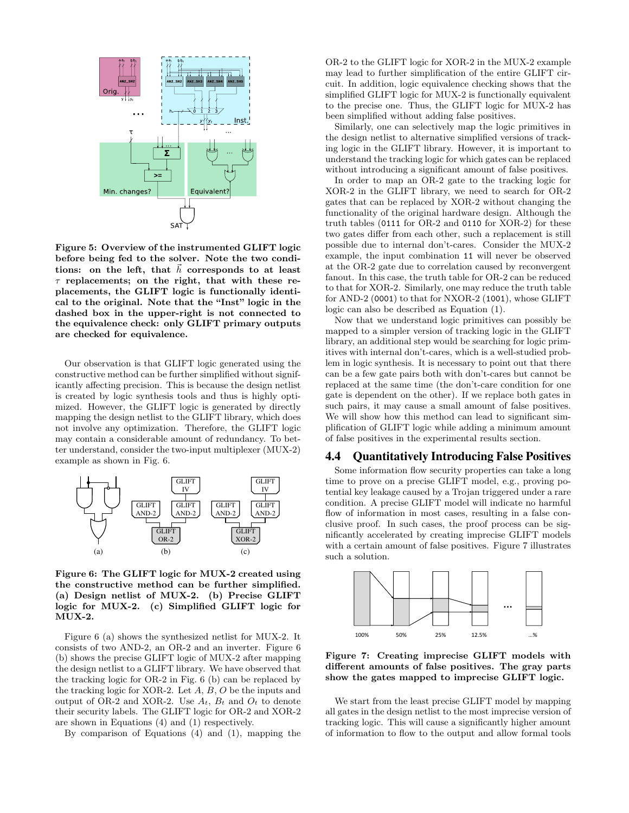

Figure 5: Overview of the instrumented GLIFT logic before being fed to the solver. Note the two conditions: on the left, that  $\vec{h}$  corresponds to at least  $\tau$  replacements; on the right, that with these replacements, the GLIFT logic is functionally identical to the original. Note that the "Inst" logic in the dashed box in the upper-right is not connected to the equivalence check: only GLIFT primary outputs are checked for equivalence.

Our observation is that GLIFT logic generated using the constructive method can be further simplified without significantly affecting precision. This is because the design netlist is created by logic synthesis tools and thus is highly optimized. However, the GLIFT logic is generated by directly mapping the design netlist to the GLIFT library, which does not involve any optimization. Therefore, the GLIFT logic may contain a considerable amount of redundancy. To better understand, consider the two-input multiplexer (MUX-2) example as shown in Fig. 6.



Figure 6: The GLIFT logic for MUX-2 created using the constructive method can be further simplified. (a) Design netlist of MUX-2. (b) Precise GLIFT logic for MUX-2. (c) Simplified GLIFT logic for MUX-2.

Figure 6 (a) shows the synthesized netlist for MUX-2. It consists of two AND-2, an OR-2 and an inverter. Figure 6 (b) shows the precise GLIFT logic of MUX-2 after mapping the design netlist to a GLIFT library. We have observed that the tracking logic for OR-2 in Fig. 6 (b) can be replaced by the tracking logic for XOR-2. Let A, B, O be the inputs and output of OR-2 and XOR-2. Use  $A_t$ ,  $B_t$  and  $O_t$  to denote their security labels. The GLIFT logic for OR-2 and XOR-2 are shown in Equations (4) and (1) respectively.

By comparison of Equations (4) and (1), mapping the

OR-2 to the GLIFT logic for XOR-2 in the MUX-2 example may lead to further simplification of the entire GLIFT circuit. In addition, logic equivalence checking shows that the simplified GLIFT logic for MUX-2 is functionally equivalent to the precise one. Thus, the GLIFT logic for MUX-2 has been simplified without adding false positives.

Similarly, one can selectively map the logic primitives in the design netlist to alternative simplified versions of tracking logic in the GLIFT library. However, it is important to understand the tracking logic for which gates can be replaced without introducing a significant amount of false positives.

In order to map an OR-2 gate to the tracking logic for XOR-2 in the GLIFT library, we need to search for OR-2 gates that can be replaced by XOR-2 without changing the functionality of the original hardware design. Although the truth tables (0111 for OR-2 and 0110 for XOR-2) for these two gates differ from each other, such a replacement is still possible due to internal don't-cares. Consider the MUX-2 example, the input combination 11 will never be observed at the OR-2 gate due to correlation caused by reconvergent fanout. In this case, the truth table for OR-2 can be reduced to that for XOR-2. Similarly, one may reduce the truth table for AND-2 (0001) to that for NXOR-2 (1001), whose GLIFT logic can also be described as Equation (1).

Now that we understand logic primitives can possibly be mapped to a simpler version of tracking logic in the GLIFT library, an additional step would be searching for logic primitives with internal don't-cares, which is a well-studied problem in logic synthesis. It is necessary to point out that there can be a few gate pairs both with don't-cares but cannot be replaced at the same time (the don't-care condition for one gate is dependent on the other). If we replace both gates in such pairs, it may cause a small amount of false positives. We will show how this method can lead to significant simplification of GLIFT logic while adding a minimum amount of false positives in the experimental results section.

# 4.4 Quantitatively Introducing False Positives

Some information flow security properties can take a long time to prove on a precise GLIFT model, e.g., proving potential key leakage caused by a Trojan triggered under a rare condition. A precise GLIFT model will indicate no harmful flow of information in most cases, resulting in a false conclusive proof. In such cases, the proof process can be significantly accelerated by creating imprecise GLIFT models with a certain amount of false positives. Figure 7 illustrates such a solution.



Figure 7: Creating imprecise GLIFT models with different amounts of false positives. The gray parts show the gates mapped to imprecise GLIFT logic.

We start from the least precise GLIFT model by mapping all gates in the design netlist to the most imprecise version of tracking logic. This will cause a significantly higher amount of information to flow to the output and allow formal tools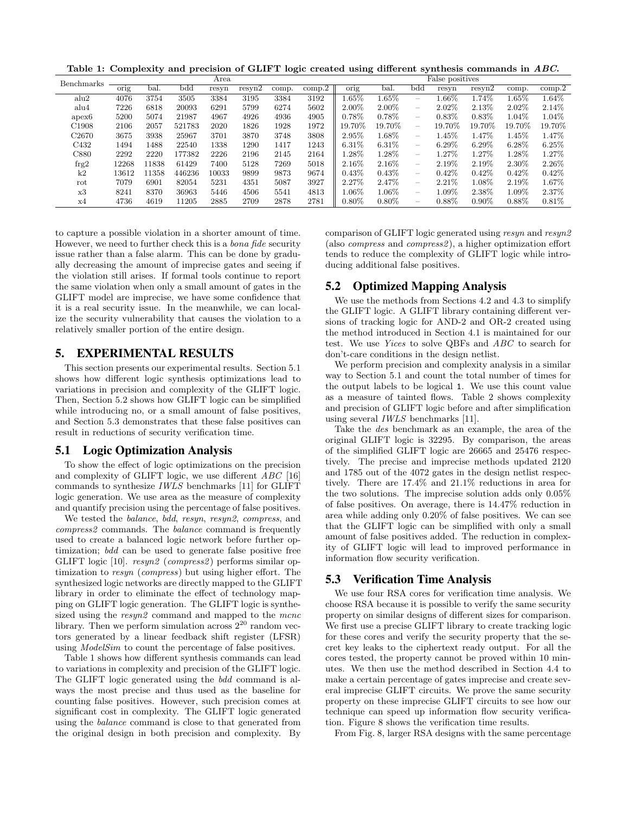Table 1: Complexity and precision of GLIFT logic created using different synthesis commands in ABC.

| Benchmarks        | Area  |       |           |       |        |       | False positives |          |           |                          |          |          |          |          |
|-------------------|-------|-------|-----------|-------|--------|-------|-----------------|----------|-----------|--------------------------|----------|----------|----------|----------|
|                   | orig  | bal.  | $\rm bdd$ | resyn | resvn2 | comp. | comp.2          | orig     | bal.      | $_{\text{bdd}}$          | resyn    | resvn2   | comp.    | comp.2   |
| alu2              | 4076  | 3754  | 3505      | 3384  | 3195   | 3384  | 3192            | $1.65\%$ | $1.65\%$  | $\overline{\phantom{m}}$ | $.66\%$  | $1.74\%$ | $1.65\%$ | $1.64\%$ |
| alu4              | 7226  | 6818  | 20093     | 6291  | 5799   | 6274  | 5602            | 2.00%    | 2.00%     | $\qquad \qquad -$        | $2.02\%$ | 2.13\%   | 2.02%    | 2.14\%   |
| apex6             | 5200  | 5074  | 21987     | 4967  | 4926   | 4936  | 4905            | $0.78\%$ | $0.78\%$  | $\overline{\phantom{0}}$ | 0.83%    | $0.83\%$ | 1.04%    | 1.04%    |
| C <sub>1908</sub> | 2106  | 2057  | 521783    | 2020  | 1826   | 1928  | 1972            | 19.70%   | $19.70\%$ | $\overline{\phantom{0}}$ | 19.70%   | 19.70%   | 19.70%   | 19.70%   |
| C <sub>2670</sub> | 3675  | 3938  | 25967     | 3701  | 3870   | 3748  | 3808            | 2.95%    | 1.68%     | $\overline{\phantom{m}}$ | $1.45\%$ | 1.47%    | 1.45%    | $1.47\%$ |
| C432              | 1494  | 1488  | 22540     | 1338  | 1290   | 1417  | 1243            | $6.31\%$ | $6.31\%$  | $\qquad \qquad -$        | $6.29\%$ | $6.29\%$ | 6.28%    | $6.25\%$ |
| $_{\rm C880}$     | 2292  | 2220  | 177382    | 2226  | 2196   | 2145  | 2164            | $1.28\%$ | 1.28%     | $\overline{\phantom{0}}$ | $1.27\%$ | $1.27\%$ | 1.28%    | 1.27%    |
| frg2              | 12268 | 11838 | 61429     | 7400  | 5128   | 7269  | 5018            | 2.16\%   | 2.16\%    | $\overline{\phantom{0}}$ | 2.19%    | 2.19%    | 2.30%    | 2.26\%   |
| k <sub>2</sub>    | 13612 | 11358 | 446236    | 10033 | 9899   | 9873  | 9674            | $0.43\%$ | $0.43\%$  | $\qquad \qquad -$        | 0.42%    | 0.42%    | 0.42%    | $0.42\%$ |
| rot               | 7079  | 6901  | 82054     | 5231  | 4351   | 5087  | 3927            | 2.27%    | 2.47%     | $\qquad \qquad -$        | 2.21%    | 1.08%    | 2.19%    | $1.67\%$ |
| x3                | 8241  | 8370  | 36963     | 5446  | 4506   | 5541  | 4813            | $1.06\%$ | 1.06%     | $\qquad \qquad -$        | $1.09\%$ | 2.38%    | 1.09%    | 2.37%    |
| х4                | 4736  | 4619  | 11205     | 2885  | 2709   | 2878  | 2781            | $0.80\%$ | $0.80\%$  | $\overline{\phantom{m}}$ | 0.88%    | $0.90\%$ | 0.88%    | $0.81\%$ |

to capture a possible violation in a shorter amount of time. However, we need to further check this is a bona fide security issue rather than a false alarm. This can be done by gradually decreasing the amount of imprecise gates and seeing if the violation still arises. If formal tools continue to report the same violation when only a small amount of gates in the GLIFT model are imprecise, we have some confidence that it is a real security issue. In the meanwhile, we can localize the security vulnerability that causes the violation to a relatively smaller portion of the entire design.

## 5. EXPERIMENTAL RESULTS

This section presents our experimental results. Section 5.1 shows how different logic synthesis optimizations lead to variations in precision and complexity of the GLIFT logic. Then, Section 5.2 shows how GLIFT logic can be simplified while introducing no, or a small amount of false positives, and Section 5.3 demonstrates that these false positives can result in reductions of security verification time.

#### 5.1 Logic Optimization Analysis

To show the effect of logic optimizations on the precision and complexity of GLIFT logic, we use different ABC [16] commands to synthesize IWLS benchmarks [11] for GLIFT logic generation. We use area as the measure of complexity and quantify precision using the percentage of false positives.

We tested the *balance*, *bdd, resyn, resyn2, compress*, and compress2 commands. The balance command is frequently used to create a balanced logic network before further optimization; bdd can be used to generate false positive free GLIFT logic [10]. resyn2 (compress2) performs similar optimization to resyn (compress) but using higher effort. The synthesized logic networks are directly mapped to the GLIFT library in order to eliminate the effect of technology mapping on GLIFT logic generation. The GLIFT logic is synthesized using the  $resyn2$  command and mapped to the mcnc library. Then we perform simulation across  $2^{20}$  random vectors generated by a linear feedback shift register (LFSR) using ModelSim to count the percentage of false positives.

Table 1 shows how different synthesis commands can lead to variations in complexity and precision of the GLIFT logic. The GLIFT logic generated using the bdd command is always the most precise and thus used as the baseline for counting false positives. However, such precision comes at significant cost in complexity. The GLIFT logic generated using the balance command is close to that generated from the original design in both precision and complexity. By comparison of GLIFT logic generated using resyn and resyn2 (also compress and compress2 ), a higher optimization effort tends to reduce the complexity of GLIFT logic while introducing additional false positives.

#### 5.2 Optimized Mapping Analysis

We use the methods from Sections 4.2 and 4.3 to simplify the GLIFT logic. A GLIFT library containing different versions of tracking logic for AND-2 and OR-2 created using the method introduced in Section 4.1 is maintained for our test. We use Yices to solve QBFs and ABC to search for don't-care conditions in the design netlist.

We perform precision and complexity analysis in a similar way to Section 5.1 and count the total number of times for the output labels to be logical 1. We use this count value as a measure of tainted flows. Table 2 shows complexity and precision of GLIFT logic before and after simplification using several IWLS benchmarks [11].

Take the des benchmark as an example, the area of the original GLIFT logic is 32295. By comparison, the areas of the simplified GLIFT logic are 26665 and 25476 respectively. The precise and imprecise methods updated 2120 and 1785 out of the 4072 gates in the design netlist respectively. There are 17.4% and 21.1% reductions in area for the two solutions. The imprecise solution adds only 0.05% of false positives. On average, there is 14.47% reduction in area while adding only 0.20% of false positives. We can see that the GLIFT logic can be simplified with only a small amount of false positives added. The reduction in complexity of GLIFT logic will lead to improved performance in information flow security verification.

#### 5.3 Verification Time Analysis

We use four RSA cores for verification time analysis. We choose RSA because it is possible to verify the same security property on similar designs of different sizes for comparison. We first use a precise GLIFT library to create tracking logic for these cores and verify the security property that the secret key leaks to the ciphertext ready output. For all the cores tested, the property cannot be proved within 10 minutes. We then use the method described in Section 4.4 to make a certain percentage of gates imprecise and create several imprecise GLIFT circuits. We prove the same security property on these imprecise GLIFT circuits to see how our technique can speed up information flow security verification. Figure 8 shows the verification time results.

From Fig. 8, larger RSA designs with the same percentage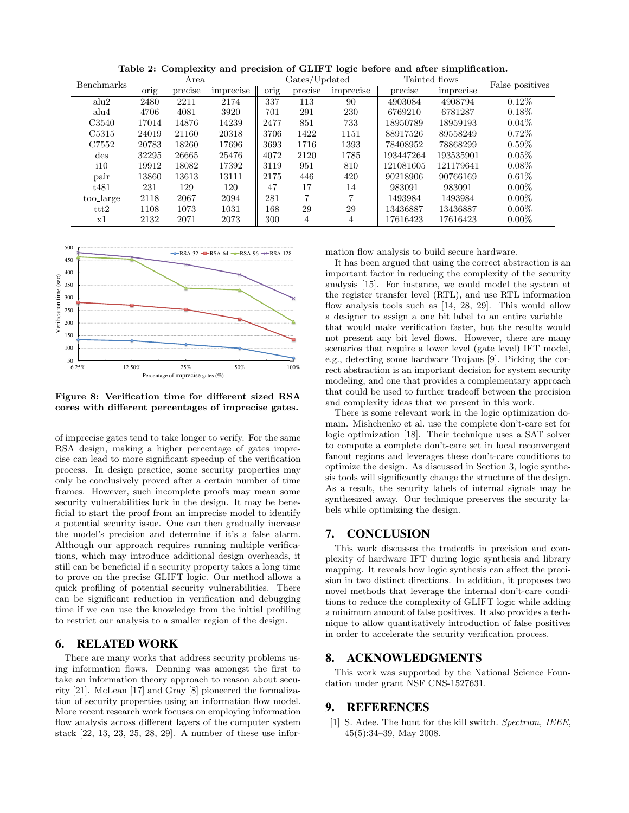Table 2: Complexity and precision of GLIFT logic before and after simplification.

| Benchmarks        |       | Area    |           |      | $\overline{\text{Gates}}$ /Updated |           | Tainted flows | False positives |          |  |
|-------------------|-------|---------|-----------|------|------------------------------------|-----------|---------------|-----------------|----------|--|
|                   | orig  | precise | imprecise | orig | precise                            | imprecise | precise       | imprecise       |          |  |
| alu2              | 2480  | 2211    | 2174      | 337  | 113                                | 90        | 4903084       | 4908794         | 0.12%    |  |
| alu4              | 4706  | 4081    | 3920      | 701  | 291                                | 230       | 6769210       | 6781287         | $0.18\%$ |  |
| C3540             | 17014 | 14876   | 14239     | 2477 | 851                                | 733       | 18950789      | 18959193        | $0.04\%$ |  |
| C <sub>5315</sub> | 24019 | 21160   | 20318     | 3706 | 1422                               | 1151      | 88917526      | 89558249        | $0.72\%$ |  |
| C7552             | 20783 | 18260   | 17696     | 3693 | 1716                               | 1393      | 78408952      | 78868299        | $0.59\%$ |  |
| $\mathrm{des}$    | 32295 | 26665   | 25476     | 4072 | 2120                               | 1785      | 193447264     | 193535901       | $0.05\%$ |  |
| 110               | 19912 | 18082   | 17392     | 3119 | 951                                | 810       | 121081605     | 121179641       | $0.08\%$ |  |
| pair              | 13860 | 13613   | 13111     | 2175 | 446                                | 420       | 90218906      | 90766169        | 0.61%    |  |
| t481              | 231   | 129     | 120       | 47   | 17                                 | 14        | 983091        | 983091          | $0.00\%$ |  |
| too_large         | 2118  | 2067    | 2094      | 281  | 7                                  |           | 1493984       | 1493984         | $0.00\%$ |  |
| ttt2              | 1108  | 1073    | 1031      | 168  | 29                                 | 29        | 13436887      | 13436887        | $0.00\%$ |  |
| x1                | 2132  | 2071    | 2073      | 300  | 4                                  | 4         | 17616423      | 17616423        | $0.00\%$ |  |



Figure 8: Verification time for different sized RSA cores with different percentages of imprecise gates.

of imprecise gates tend to take longer to verify. For the same RSA design, making a higher percentage of gates imprecise can lead to more significant speedup of the verification process. In design practice, some security properties may only be conclusively proved after a certain number of time frames. However, such incomplete proofs may mean some security vulnerabilities lurk in the design. It may be beneficial to start the proof from an imprecise model to identify a potential security issue. One can then gradually increase the model's precision and determine if it's a false alarm. Although our approach requires running multiple verifications, which may introduce additional design overheads, it still can be beneficial if a security property takes a long time to prove on the precise GLIFT logic. Our method allows a quick profiling of potential security vulnerabilities. There can be significant reduction in verification and debugging time if we can use the knowledge from the initial profiling to restrict our analysis to a smaller region of the design.

#### 6. RELATED WORK

There are many works that address security problems using information flows. Denning was amongst the first to take an information theory approach to reason about security [21]. McLean [17] and Gray [8] pioneered the formalization of security properties using an information flow model. More recent research work focuses on employing information flow analysis across different layers of the computer system stack [22, 13, 23, 25, 28, 29]. A number of these use information flow analysis to build secure hardware.

It has been argued that using the correct abstraction is an important factor in reducing the complexity of the security analysis [15]. For instance, we could model the system at the register transfer level (RTL), and use RTL information flow analysis tools such as [14, 28, 29]. This would allow a designer to assign a one bit label to an entire variable – that would make verification faster, but the results would not present any bit level flows. However, there are many scenarios that require a lower level (gate level) IFT model, e.g., detecting some hardware Trojans [9]. Picking the correct abstraction is an important decision for system security modeling, and one that provides a complementary approach that could be used to further tradeoff between the precision and complexity ideas that we present in this work.

There is some relevant work in the logic optimization domain. Mishchenko et al. use the complete don't-care set for logic optimization [18]. Their technique uses a SAT solver to compute a complete don't-care set in local reconvergent fanout regions and leverages these don't-care conditions to optimize the design. As discussed in Section 3, logic synthesis tools will significantly change the structure of the design. As a result, the security labels of internal signals may be synthesized away. Our technique preserves the security labels while optimizing the design.

# 7. CONCLUSION

This work discusses the tradeoffs in precision and complexity of hardware IFT during logic synthesis and library mapping. It reveals how logic synthesis can affect the precision in two distinct directions. In addition, it proposes two novel methods that leverage the internal don't-care conditions to reduce the complexity of GLIFT logic while adding a minimum amount of false positives. It also provides a technique to allow quantitatively introduction of false positives in order to accelerate the security verification process.

# 8. ACKNOWLEDGMENTS

This work was supported by the National Science Foundation under grant NSF CNS-1527631.

#### 9. REFERENCES

[1] S. Adee. The hunt for the kill switch. Spectrum, IEEE, 45(5):34–39, May 2008.